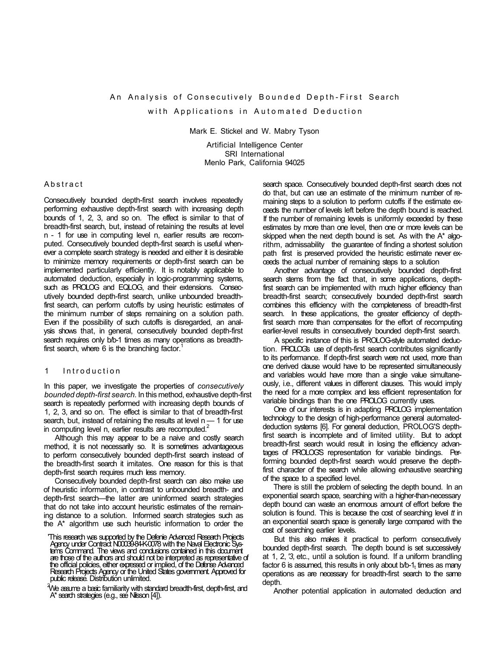# An Analysis of Consecutively Bounded Depth-First Search with Applications in Automated Deduction

Mark E. Stickel and W. Mabry Tyson

Artificial Intelligence Center SRI International Menlo Park, California 94025

# **Abstract**

Consecutively bounded depth-first search involves repeatedly performing exhaustive depth-first search with increasing depth bounds of 1, 2, 3, and so on. The effect is similar to that of breadth-first search, but, instead of retaining the results at level n - 1 for use in computing level n, earlier results are recomputed. Consecutively bounded depth-first search is useful whenever a complete search strategy is needed and either it is desirable to minimize memory requirements or depth-first search can be implemented particularly efficiently. It is notably applicable to automated deduction, especially in logic-programming systems, such as PROLOG and EQLOG, and their extensions. Consecutively bounded depth-first search, unlike unbounded breadthfirst search, can perform cutoffs by using heuristic estimates of the minimum number of steps remaining on a solution path. Even if the possibility of such cutoffs is disregarded, an analysis shows that, in general, consecutively bounded depth-first search requires only b/b-1 times as many operations as breadthfirst search, where  $6$  is the branching factor.<sup>1</sup>

# 1 Introduction

In this paper, we investigate the properties of *consecutively bounded depth-first search.* In this method, exhaustive depth-first search is repeatedly performed with increasing depth bounds of 1, 2, 3, and so on. The effect is similar to that of breadth-first search, but, instead of retaining the results at level  $n - 1$  for use in computing level n, earlier results are recomputed.<sup>2</sup>

Although this may appear to be a naive and costly search method, it is not necessarily so. It is sometimes advantageous to perform consecutively bounded depth-first search instead of the breadth-first search it imitates. One reason for this is that depth-first search requires much less memory.

Consecutively bounded depth-first search can also make use of heuristic information, in contrast to unbounded breadth- and depth-first search—the latter are uninformed search strategies that do not take into account heuristic estimates of the remaining distance to a solution. Informed search strategies such as the A\* algorithm use such heuristic information to order the

'This research was supported by the Defenie Advanced Research Projects Agency under Contract N00039-84-K-0078 with the Naval Electronic Systems Command. The views and conclusions contained in this document are those of the authors and should not be interpreted as representative of the official policies, either expressed or implied, of the Defense Advanced Research Projects Agency or the United States government. Approved for public release. Distribution unlimited.

 $^2$ We assume a basic familiarity with standard breadth-first, depth-first, and A\* search strategies (e.g., see Nilsson [4]).

search space. Consecutively bounded depth-first search does not do that, but can use an estimate of the minimum number of remaining steps to a solution to perform cutoffs if the estimate exceeds the number of levels left before the depth bound is reached. If the number of remaining levels is uniformly exceeded by these estimates by more than one level, then one or more levels can be skipped when the next depth bound is set. As with the A\* algorithm, admissability the guarantee of finding a shortest solution path first is preserved provided the heuristic estimate never exceeds the actual number of remaining steps to a solution

Another advantage of consecutively bounded depth-first search stems from the fact that, in some applications, depthfirst search can be implemented with much higher efficiency than breadth-first search; consecutively bounded depth-first search combines this efficiency with the completeness of breadth-first search. In these applications, the greater efficiency of depthfirst search more than compensates for the effort of recomputing earlier-level results in consecutively bounded depth-first search.

A specific instance of this is PROLOG-style automated deduction. PROLOG use of depth-first search contributes significantly to its performance. If depth-first search were not used, more than one derived clause would have to be represented simultaneously and variables would have more than a single value simultaneously, i.e., different values in different clauses. This would imply the need for a more complex and less efficient representation for variable bindings than the one PROLOG currently uses.

One of our interests is in adapting PROLOG implementation technology to the design of high-performance general automateddeduction systems [6]. For general deduction, PROLOG'S depthfirst search is incomplete and of limited utility. But to adopt breadth-first search would result in losing the efficiency advantages of PROLOG'S representation for variable bindings. Performing bounded depth-first search would preserve the depthfirst character of the search while allowing exhaustive searching of the space to a specified level.

There is still the problem of selecting the depth bound. In an exponential search space, searching with a higher-than-necessary depth bound can waste an enormous amount of effort before the solution is found. This is because the cost of searching level *tt* in an exponential search space is generally large compared with the cost of searching earlier levels.

But this also makes it practical to perform consecutively bounded depth-first search. The depth bound is set successively at 1, 2, *'3,* etc., until a solution is found. If a uniform brandling factor 6 is assumed, this results in only about  $b/b-1<sub>t</sub>$  times as many operations as are necessary for breadth-first search to the same depth.

Another potential application in automated deduction and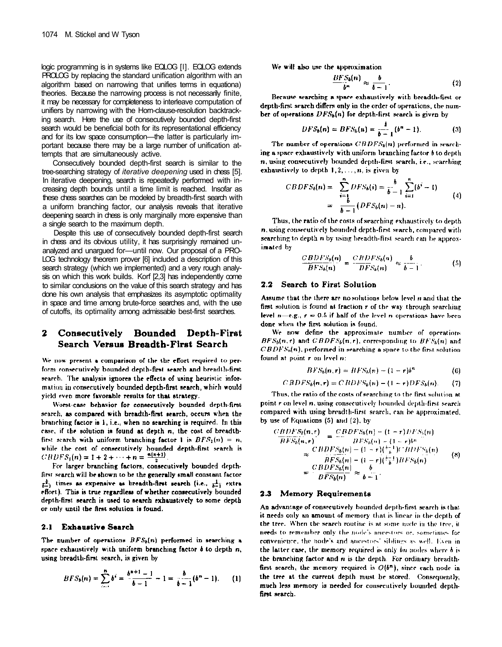logic programming is in systems like EQLOG [1]. EQLOG extends PROLOG by replacing the standard unification algorithm with an algorithm based on narrowing that unifies terms in equationa) theories. Because the narrowing process is not necessarily finite, it may be necessary for completeness to interleave computation of unifiers by narrowing with the Horn-clause-resolution backtracking search. Here the use of consecutively bounded depth-first search would be beneficial both for its representational efficiency and for its low space consumption-the latter is particularly important because there may be a large number of unification attempts that are simultaneously active.

Consecutively bounded depth-first search is similar to the tree-searching strategy of *iterative* deepening used in chess [5]. In iterative deepening, search is repeatedly performed with increasing depth bounds until a time limit is reached. Insofar as these chess searches can be modeled by breadth-first search with a uniform branching factor, our analysis reveals that iterative deepening search in chess is only marginally more expensive than a single search to the maximum depth.

Despite this use of consecutively bounded depth-first search in chess and its obvious utility, it has surprisingly remained unanalyzed and unargued for-until now. Our proposal of a PRO-LOG technology theorem prover [6] included a description of this search strategy (which we implemented) and a very rough analysis on which this work builds. Korf [2,3] has independently come to similar conclusions on the value of this search strategy and has done his own analysis that emphasizes its asymptotic optimality in space and time among brute-force searches and, with the use of cutoffs, its optimality among admissable best-first searches.

#### $\mathbf{z}$ Consecutively **Bounded** Depth-First Search Versus Breadth-First Search

We now present a comparison of the the effort required to perform consecutively bounded depth-first search and breadth-first search. The analysis ignores the effects of using heuristic information in consecutively bounded depth-first search, which would yield even more favorable results for that strategy.

Worst-case behavior for consecutively bounded depth-first search, as compared with breadth-first search, occurs when the branching factor is 1, i.e., when no searching is required. In this case, if the solution is found at depth n, the cost of breadthfirst search with uniform branching factor 1 is  $BFS<sub>1</sub>(n) = n$ , while the cost of consecutively bounded depth-first search is  $CBDFS_1(n) = 1 + 2 + \cdots + n = \frac{n(n+1)}{2}$ .

For larger branching factors, consecutively bounded depthfirst search will be shown to be the generally small constant factor  $\frac{p}{b-1}$  times as expensive as breadth-first search (i.e.,  $\frac{1}{b-1}$  extra effort). This is true regardless of whether consecutively bounded depth-first search is used to search exhaustively to some depth or only until the first solution is found.

# 2.1 Exhaustive Search

The number of operations  $BFS<sub>b</sub>(n)$  performed in searching a space exhaustively with uniform branching factor  $b$  to depth n, using breadth-first search, is given by

$$
BFS_b(n) = \sum_{i=1}^n b^i = \frac{b^{n+1}-1}{b-1} - 1 = \frac{b}{b-1}(b^n - 1). \qquad (1)
$$

We will also use the approximation

$$
\frac{BFS_b(n)}{b^n} \approx \frac{b}{b-1}.
$$
 (2)

Because searching a space exhaustively with breadth-first or depth-first search differs only in the order of operations, the number of operations  $DFS_b(n)$  for depth-first search is given by

$$
DFS_b(n) = BFS_b(n) = \frac{b}{b-1}(b^n - 1).
$$
 (3)

The number of operations  $CBDFS_b(n)$  performed in searching a space exhaustively with uniform branching factor b to depth n, using consecutively bounded depth-first search, i.e., searching exhaustively to depth  $1, 2, \ldots, n$ , is given by

$$
CBDFS_b(n) = \sum_{i=1}^{n} DFS_b(i) = \frac{b}{b-1} \sum_{i=1}^{n} (b^i - 1)
$$
  
= 
$$
\frac{b}{b-1} (DFS_b(n) - n).
$$
 (4)

Thus, the ratio of the costs of searching exhaustively to depth n, using consecutively bounded depth-first search, compared with searching to depth n by using breadth-first search can be approximated by

$$
\frac{CBDFS_b(n)}{BFS_b(n)} = \frac{CBDFS_b(n)}{DFS_b(n)} \approx \frac{b}{b-1}.
$$
 (5)

### 2.2 Search to First Solution

Assume that the there are no solutions below level n and that the first solution is found at fraction r of the way through searching level  $n$ -e.g.,  $r = 0.5$  if half of the level n operations have been done when the first solution is found.

We now define the approximate number of operations  $BFS<sub>b</sub>(n,r)$  and  $CBDFS<sub>b</sub>(n,r)$ , corresponding to  $BFS<sub>b</sub>(n)$  and  $CBDFS<sub>b</sub>(n)$ , performed in searching a space to the first solution found at point r on level n:

$$
BFS_b(n,r) = HFS_b(n) - (1-r)b^n \tag{6}
$$

$$
CBDFSb(n, r) = CBDFSb(n) - (1 - r)DFSb(n). (7)
$$

Thus, the ratio of the costs of searching to the first solution at point r on level n, using consecutively bounded depth-first search compared with using breadth-first search, can be approximated, by use of Equations  $(5)$  and  $(2)$ , by

$$
\frac{CBDES_b(n,r)}{BFS_b(n,r)} = \frac{CBDFS_b(n) - (1-r)DFS_b(n)}{BFS_b(n) - (1-r)b^m}
$$
\n
$$
\approx \frac{CBDES_b(n) - (1-r)\binom{b-1}{b}CBDFS_b(n)}{BFS_b(n) - (1-r)\binom{b-1}{b}DFS_b(n)}
$$
\n
$$
= \frac{CBDFS_b(n)}{BFS_b(n)} \approx \frac{b}{b-1}.
$$
\n(8)

### 2.3 Memory Requirements

An advantage of consecutively bounded depth-first search is that it needs only an amount of memory that is linear in the depth of the tree. When the search routine is at some node in the tree, it needs to remember only the node's ancestors or, sometimes for convenience, the node's and ancestors' siblings as well. Even in the latter case, the memory required is only bu nodes where b is the branching factor and  $n$  is the depth. For ordinary breadthfirst search, the memory required is  $O(b^n)$ , since each node in the tree at the current depth must be stored. Consequently, much less memory is needed for consecutively bounded depthfirst search.